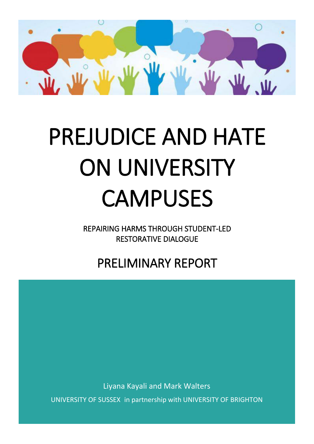

# PREJUDICE AND HATE ON UNIVERSITY CAMPUSES

REPAIRING HARMS THROUGH STUDENT-LED RESTORATIVE DIALOGUE

PRELIMINARY REPORT

Liyana Kayali and Mark Walters

UNIVERSITY OF SUSSEX in partnership with UNIVERSITY OF BRIGHTON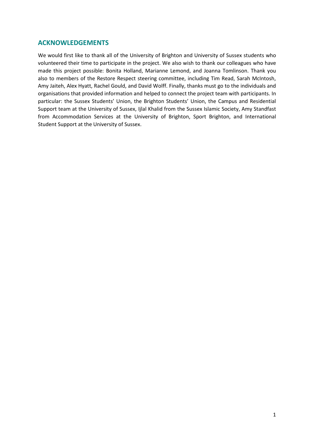# **ACKNOWLEDGEMENTS**

We would first like to thank all of the University of Brighton and University of Sussex students who volunteered their time to participate in the project. We also wish to thank our colleagues who have made this project possible: Bonita Holland, Marianne Lemond, and Joanna Tomlinson. Thank you also to members of the Restore Respect steering committee, including Tim Read, Sarah McIntosh, Amy Jaiteh, Alex Hyatt, Rachel Gould, and David Wolff. Finally, thanks must go to the individuals and organisations that provided information and helped to connect the project team with participants. In particular: the Sussex Students' Union, the Brighton Students' Union, the Campus and Residential Support team at the University of Sussex, Ijlal Khalid from the Sussex Islamic Society, Amy Standfast from Accommodation Services at the University of Brighton, Sport Brighton, and International Student Support at the University of Sussex.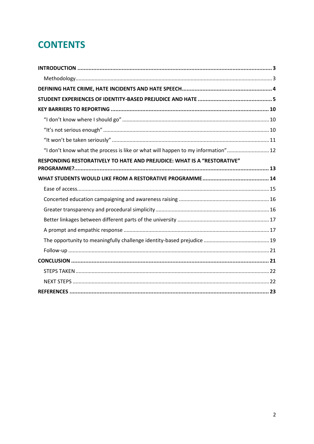# **CONTENTS**

| "I don't know what the process is like or what will happen to my information" 12 |  |
|----------------------------------------------------------------------------------|--|
| <b>RESPONDING RESTORATIVELY TO HATE AND PREJUDICE: WHAT IS A "RESTORATIVE"</b>   |  |
|                                                                                  |  |
|                                                                                  |  |
|                                                                                  |  |
|                                                                                  |  |
|                                                                                  |  |
|                                                                                  |  |
|                                                                                  |  |
|                                                                                  |  |
|                                                                                  |  |
|                                                                                  |  |
|                                                                                  |  |
|                                                                                  |  |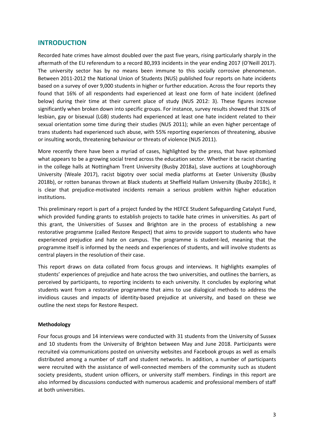#### <span id="page-3-0"></span>**INTRODUCTION**

Recorded hate crimes have almost doubled over the past five years, rising particularly sharply in the aftermath of the EU referendum to a record 80,393 incidents in the year ending 2017 (O'Neill 2017). The university sector has by no means been immune to this socially corrosive phenomenon. Between 2011-2012 the National Union of Students (NUS) published four reports on hate incidents based on a survey of over 9,000 students in higher or further education. Across the four reports they found that 16% of all respondents had experienced at least one form of hate incident (defined below) during their time at their current place of study (NUS 2012: 3). These figures increase significantly when broken down into specific groups. For instance, survey results showed that 31% of lesbian, gay or bisexual (LGB) students had experienced at least one hate incident related to their sexual orientation some time during their studies (NUS 2011); while an even higher percentage of trans students had experienced such abuse, with 55% reporting experiences of threatening, abusive or insulting words, threatening behaviour or threats of violence (NUS 2011).

More recently there have been a myriad of cases, highlighted by the press, that have epitomised what appears to be a growing social trend across the education sector. Whether it be racist chanting in the college halls at Nottingham Trent University (Busby 2018a), slave auctions at Loughborough University (Weale 2017), racist bigotry over social media platforms at Exeter University (Busby 2018b), or rotten bananas thrown at Black students at Sheffield Hallam University (Busby 2018c), it is clear that prejudice-motivated incidents remain a serious problem within higher education institutions.

This preliminary report is part of a project funded by the HEFCE Student Safeguarding Catalyst Fund, which provided funding grants to establish projects to tackle hate crimes in universities. As part of this grant, the Universities of Sussex and Brighton are in the process of establishing a new restorative programme (called Restore Respect) that aims to provide support to students who have experienced prejudice and hate on campus. The programme is student-led, meaning that the programme itself is informed by the needs and experiences of students, and will involve students as central players in the resolution of their case.

This report draws on data collated from focus groups and interviews. It highlights examples of students' experiences of prejudice and hate across the two universities, and outlines the barriers, as perceived by participants, to reporting incidents to each university. It concludes by exploring what students want from a restorative programme that aims to use dialogical methods to address the invidious causes and impacts of identity-based prejudice at university, and based on these we outline the next steps for Restore Respect.

#### <span id="page-3-1"></span>**Methodology**

Four focus groups and 14 interviews were conducted with 31 students from the University of Sussex and 10 students from the University of Brighton between May and June 2018. Participants were recruited via communications posted on university websites and Facebook groups as well as emails distributed among a number of staff and student networks. In addition, a number of participants were recruited with the assistance of well-connected members of the community such as student society presidents, student union officers, or university staff members. Findings in this report are also informed by discussions conducted with numerous academic and professional members of staff at both universities.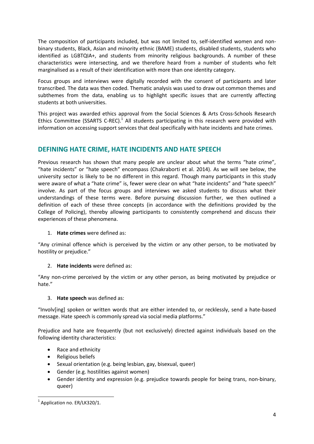The composition of participants included, but was not limited to, self-identified women and nonbinary students, Black, Asian and minority ethnic (BAME) students, disabled students, students who identified as LGBTQIA+, and students from minority religious backgrounds. A number of these characteristics were intersecting, and we therefore heard from a number of students who felt marginalised as a result of their identification with more than one identity category.

Focus groups and interviews were digitally recorded with the consent of participants and later transcribed. The data was then coded. Thematic analysis was used to draw out common themes and subthemes from the data, enabling us to highlight specific issues that are currently affecting students at both universities.

This project was awarded ethics approval from the Social Sciences & Arts Cross-Schools Research Ethics Committee (SSARTS C-REC).<sup>1</sup> All students participating in this research were provided with information on accessing support services that deal specifically with hate incidents and hate crimes.

# <span id="page-4-0"></span>**DEFINING HATE CRIME, HATE INCIDENTS AND HATE SPEECH**

Previous research has shown that many people are unclear about what the terms "hate crime", "hate incidents" or "hate speech" encompass (Chakraborti et al. 2014). As we will see below, the university sector is likely to be no different in this regard. Though many participants in this study were aware of what a "hate crime" is, fewer were clear on what "hate incidents" and "hate speech" involve. As part of the focus groups and interviews we asked students to discuss what their understandings of these terms were. Before pursuing discussion further, we then outlined a definition of each of these three concepts (in accordance with the definitions provided by the College of Policing), thereby allowing participants to consistently comprehend and discuss their experiences of these phenomena.

#### 1. **Hate crimes** were defined as:

"Any criminal offence which is perceived by the victim or any other person, to be motivated by hostility or prejudice."

# 2. **Hate incidents** were defined as:

"Any non-crime perceived by the victim or any other person, as being motivated by prejudice or hate."

#### 3. **Hate speech** was defined as:

"Involv[ing] spoken or written words that are either intended to, or recklessly, send a hate-based message. Hate speech is commonly spread via social media platforms."

Prejudice and hate are frequently (but not exclusively) directed against individuals based on the following identity characteristics:

- Race and ethnicity
- Religious beliefs
- Sexual orientation (e.g. being lesbian, gay, bisexual, queer)
- Gender (e.g. hostilities against women)
- Gender identity and expression (e.g. prejudice towards people for being trans, non-binary, queer)

**<sup>.</sup>**  $1$  Application no. ER/LK320/1.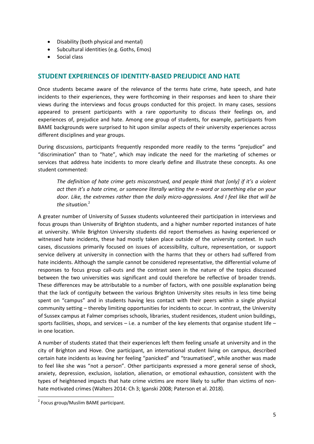- Disability (both physical and mental)
- Subcultural identities (e.g. Goths, Emos)
- **Social class**

# <span id="page-5-0"></span>**STUDENT EXPERIENCES OF IDENTITY-BASED PREJUDICE AND HATE**

Once students became aware of the relevance of the terms hate crime, hate speech, and hate incidents to their experiences, they were forthcoming in their responses and keen to share their views during the interviews and focus groups conducted for this project. In many cases, sessions appeared to present participants with a rare opportunity to discuss their feelings on, and experiences of, prejudice and hate. Among one group of students, for example, participants from BAME backgrounds were surprised to hit upon similar aspects of their university experiences across different disciplines and year groups.

During discussions, participants frequently responded more readily to the terms "prejudice" and "discrimination" than to "hate", which may indicate the need for the marketing of schemes or services that address hate incidents to more clearly define and illustrate these concepts. As one student commented:

*The definition of hate crime gets misconstrued, and people think that [only] if it's a violent act then it's a hate crime, or someone literally writing the n-word or something else on your door. Like, the extremes rather than the daily micro-aggressions. And I feel like that will be the situation.* 2

A greater number of University of Sussex students volunteered their participation in interviews and focus groups than University of Brighton students, and a higher number reported instances of hate at university. While Brighton University students did report themselves as having experienced or witnessed hate incidents, these had mostly taken place outside of the university context. In such cases, discussions primarily focused on issues of accessibility, culture, representation, or support service delivery at university in connection with the harms that they or others had suffered from hate incidents. Although the sample cannot be considered representative, the differential volume of responses to focus group call-outs and the contrast seen in the nature of the topics discussed between the two universities was significant and could therefore be reflective of broader trends. These differences may be attributable to a number of factors, with one possible explanation being that the lack of contiguity between the various Brighton University sites results in less time being spent on "campus" and in students having less contact with their peers within a single physical community setting – thereby limiting opportunities for incidents to occur. In contrast, the University of Sussex campus at Falmer comprises schools, libraries, student residences, student union buildings, sports facilities, shops, and services  $-$  i.e. a number of the key elements that organise student life  $$ in one location.

A number of students stated that their experiences left them feeling unsafe at university and in the city of Brighton and Hove. One participant, an international student living on campus, described certain hate incidents as leaving her feeling "panicked" and "traumatised", while another was made to feel like she was "not a person". Other participants expressed a more general sense of shock, anxiety, depression, exclusion, isolation, alienation, or emotional exhaustion, consistent with the types of heightened impacts that hate crime victims are more likely to suffer than victims of nonhate motivated crimes (Walters 2014: Ch 3; Iganski 2008; Paterson et al. 2018).

<sup>&</sup>lt;sup>2</sup> Focus group/Muslim BAME participant.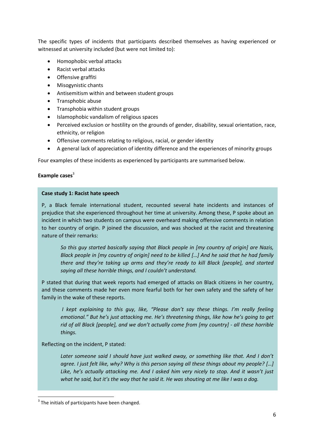The specific types of incidents that participants described themselves as having experienced or witnessed at university included (but were not limited to):

- Homophobic verbal attacks
- Racist verbal attacks
- Offensive graffiti
- Misogynistic chants
- Antisemitism within and between student groups
- Transphobic abuse
- Transphobia within student groups
- Islamophobic vandalism of religious spaces
- Perceived exclusion or hostility on the grounds of gender, disability, sexual orientation, race, ethnicity, or religion
- Offensive comments relating to religious, racial, or gender identity
- A general lack of appreciation of identity difference and the experiences of minority groups

Four examples of these incidents as experienced by participants are summarised below.

#### Example cases<sup>3</sup>

#### **Case study 1: Racist hate speech**

P, a Black female international student, recounted several hate incidents and instances of prejudice that she experienced throughout her time at university. Among these, P spoke about an incident in which two students on campus were overheard making offensive comments in relation to her country of origin. P joined the discussion, and was shocked at the racist and threatening nature of their remarks:

*So this guy started basically saying that Black people in [my country of origin] are Nazis, Black people in [my country of origin] need to be killed […] And he said that he had family there and they're taking up arms and they're ready to kill Black [people], and started saying all these horrible things, and I couldn't understand.*

P stated that during that week reports had emerged of attacks on Black citizens in her country, and these comments made her even more fearful both for her own safety and the safety of her family in the wake of these reports.

*I kept explaining to this guy, like, "Please don't say these things. I'm really feeling emotional." But he's just attacking me. He's threatening things, like how he's going to get rid of all Black [people], and we don't actually come from [my country] - all these horrible things.*

Reflecting on the incident, P stated:

Later someone said I should have just walked away, or something like that. And I don't *agree. I just felt like, why? Why is this person saying all these things about my people? […] Like, he's actually attacking me. And I asked him very nicely to stop. And it wasn't just what he said, but it's the way that he said it. He was shouting at me like I was a dog.*

 $3$  The initials of participants have been changed.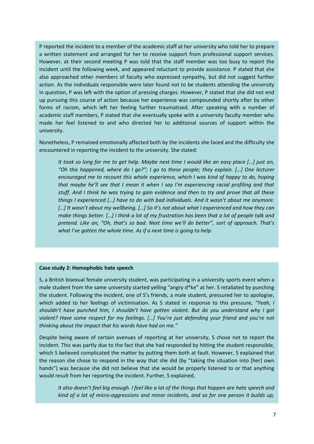P reported the incident to a member of the academic staff at her university who told her to prepare a written statement and arranged for her to receive support from professional support services. However, at their second meeting P was told that the staff member was too busy to report the incident until the following week, and appeared reluctant to provide assistance. P stated that she also approached other members of faculty who expressed sympathy, but did not suggest further action. As the individuals responsible were later found not to be students attending the university in question, P was left with the option of pressing charges. However, P stated that she did not end up pursuing this course of action because her experience was compounded shortly after by other forms of racism, which left her feeling further traumatised. After speaking with a number of academic staff members, P stated that she eventually spoke with a university faculty member who made her feel listened to and who directed her to additional sources of support within the university.

Nonetheless, P remained emotionally affected both by the incidents she faced and the difficulty she encountered in reporting the incident to the university. She stated:

*It took so long for me to get help. Maybe next time I would like an easy place […] just an, "Oh this happened, where do I go?"; I go to these people; they explain. […] One lecturer encouraged me to recount this whole experience, which I was kind of happy to do, hoping that maybe he'll see that I mean it when I say I'm experiencing racial profiling and that stuff. And I think he was trying to gain evidence and then to try and prove that all these things I experienced […] have to do with bad individuals. And it wasn't about me anymore. […] It wasn't about my wellbeing. […] So it's not about what I experienced and how they can make things better. […] I think a lot of my frustration has been that a lot of people talk and pretend. Like an, "Oh, that's so bad. Next time we'll do better", sort of approach. That's what I've gotten the whole time. As if a next time is going to help.*

#### **Case study 2: Homophobic hate speech**

*but*

S, a British bisexual female university student, was participating in a university sports event when a male student from the same university started yelling "angry d\*ke" at her. S retaliated by punching the student. Following the incident, one of S's friends, a male student, pressured her to apologise, which added to her feelings of victimisation. As S stated in response to this pressure, *"Yeah, I shouldn't have punched him, I shouldn't have gotten violent. But do you understand why I got violent? Have some respect for my feelings. […] You're just defending your friend and you're not thinking about the impact that his words have had on me."*

Despite being aware of certain avenues of reporting at her university, S chose not to report the incident. This was partly due to the fact that she had responded by hitting the student responsible, which S believed complicated the matter by putting them both at fault. However, S explained that the reason she chose to respond in the way that she did (by "taking the situation into [her] own hands") was because she did not believe that she would be properly listened to or that anything would result from her reporting the incident. Further, S explained,

*It also doesn't feel big enough. I feel like a lot of the things that happen are hate speech and kind of a lot of micro-aggressions and minor incidents, and so for one person it builds up,*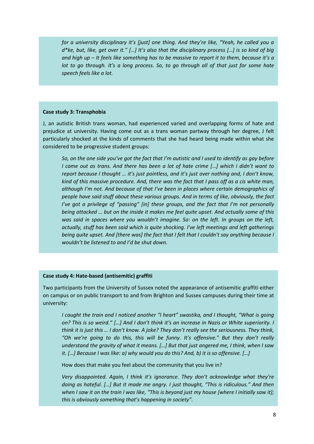*for a university disciplinary it's [just] one thing. And they're like, "Yeah, he called you a d\*ke, but, like, get over it." […] It's also that the disciplinary process […] is so kind of big and high up – It feels like something has to be massive to report it to them, because it's a lot to go through. It's a long process. So, to go through all of that just for some hate speech feels like a lot.*

#### **Case study 3: Transphobia**

J, an autistic British trans woman, had experienced varied and overlapping forms of hate and prejudice at university. Having come out as a trans woman partway through her degree, J felt particularly shocked at the kinds of comments that she had heard being made within what she considered to be progressive student groups:

*So, on the one side you've got the fact that I'm autistic and I used to identify as gay before I came out as trans. And there has been a lot of hate crime […] which I didn't want to report because I thought … it's just pointless, and it's just over nothing and, I don't know, kind of this massive procedure. And, there was the fact that I pass off as a cis white man, although I'm not. And because of that I've been in places where certain demographics of people have said stuff about these various groups. And in terms of like, obviously, the fact I've got a privilege of "passing" [in] these groups, and the fact that I'm not personally being attacked … but on the inside it makes me feel quite upset. And actually some of this was said in spaces where you wouldn't imagine. So: on the left. In groups on the left, actually, stuff has been said which is quite shocking. I've left meetings and left gatherings being quite upset. And [there was] the fact that I felt that I couldn't say anything because I wouldn't be listened to and I'd be shut down.*

#### **Case study 4: Hate-based (antisemitic) graffiti**

Two participants from the University of Sussex noted the appearance of antisemitic graffiti either on campus or on public transport to and from Brighton and Sussex campuses during their time at university:

*I caught the train and I noticed another "I heart" swastika, and I thought, "What is going on? This is so weird." […] And I don't think it's an increase in Nazis or White superiority. I think it is just this … I don't know. A joke? They don't really see the seriousness. They think, "Oh we're going to do this, this will be funny. It's offensive." But they don't really understand the gravity of what it means. […] But that just angered me, I think, when I saw it. […] Because I was like: a) why would you do this? And, b) it is so offensive. […]*

How does that make you feel about the community that you live in?

*Very disappointed. Again, I think it's ignorance. They don't acknowledge what they're doing as hateful. […] But it made me angry. I just thought, "This is ridiculous." And then when I saw it on the train I was like, "This is beyond just my house [where I initially saw it]; this is obviously something that's happening in society".*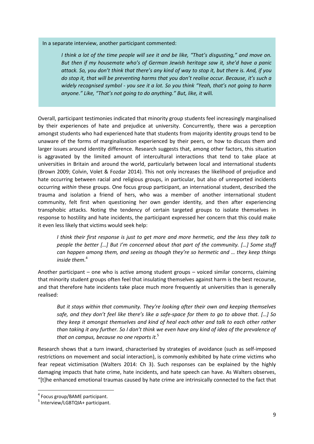In a separate interview, another participant commented:

*I think a lot of the time people will see it and be like, "That's disgusting," and move on. But then if my housemate who's of German Jewish heritage saw it, she'd have a panic attack. So, you don't think that there's any kind of way to stop it, but there is. And, if you do stop it, that will be preventing harms that you don't realise occur. Because, it's such a widely recognised symbol - you see it a lot. So you think "Yeah, that's not going to harm anyone." Like, "That's not going to do anything." But, like, it* will*.*

Overall, participant testimonies indicated that minority group students feel increasingly marginalised by their experiences of hate and prejudice at university. Concurrently, there was a perception amongst students who had experienced hate that students from majority identity groups tend to be unaware of the forms of marginalisation experienced by their peers, or how to discuss them and larger issues around identity difference. Research suggests that, among other factors, this situation is aggravated by the limited amount of intercultural interactions that tend to take place at universities in Britain and around the world, particularly between local and international students (Brown 2009; Colvin, Volet & Fozdar 2014). This not only increases the likelihood of prejudice and hate occurring between racial and religious groups, in particular, but also of unreported incidents occurring *within* these groups. One focus group participant, an international student, described the trauma and isolation a friend of hers, who was a member of another international student community, felt first when questioning her own gender identity, and then after experiencing transphobic attacks. Noting the tendency of certain targeted groups to isolate themselves in response to hostility and hate incidents, the participant expressed her concern that this could make it even less likely that victims would seek help:

*I think their first response is just to get more and more hermetic, and the less they talk to people the better […] But I'm concerned about that part of the community. […] Some stuff can happen among them, and seeing as though they're so hermetic and … they keep things inside them.* 4

Another participant – one who is active among student groups – voiced similar concerns, claiming that minority student groups often feel that insulating themselves against harm is the best recourse, and that therefore hate incidents take place much more frequently at universities than is generally realised:

*But it stays within that community. They're looking after their own and keeping themselves safe, and they don't feel like there's like a safe-space for them to go to above that. […] So they keep it amongst themselves and kind of heal each other and talk to each other rather than taking it any further. So I don't think we even have any kind of idea of the prevalence of that on campus, because no one reports it.* 5

Research shows that a turn inward, characterised by strategies of avoidance (such as self-imposed restrictions on movement and social interaction), is commonly exhibited by hate crime victims who fear repeat victimisation (Walters 2014: Ch 3). Such responses can be explained by the highly damaging impacts that hate crime, hate incidents, and hate speech can have. As Walters observes, "[t]he enhanced emotional traumas caused by hate crime are intrinsically connected to the fact that

<sup>4</sup> Focus group/BAME participant.

<sup>&</sup>lt;sup>5</sup> Interview/LGBTQIA+ participant.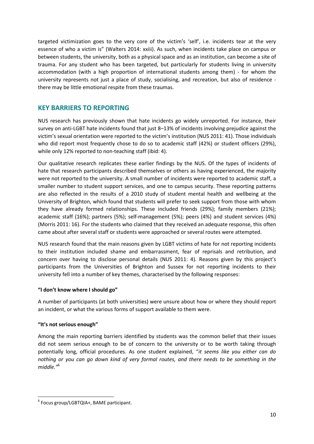targeted victimization goes to the very core of the victim's 'self', i.e. incidents tear at the very essence of who a victim is" (Walters 2014: xxiii). As such, when incidents take place on campus or between students, the university, both as a physical space and as an institution, can become a site of trauma. For any student who has been targeted, but particularly for students living in university accommodation (with a high proportion of international students among them) - for whom the university represents not just a place of study, socialising, and recreation, but also of residence there may be little emotional respite from these traumas.

# <span id="page-10-0"></span>**KEY BARRIERS TO REPORTING**

NUS research has previously shown that hate incidents go widely unreported. For instance, their survey on anti-LGBT hate incidents found that just 8–13% of incidents involving prejudice against the victim's sexual orientation were reported to the victim's institution (NUS 2011: 41). Those individuals who did report most frequently chose to do so to academic staff (42%) or student officers (29%), while only 12% reported to non-teaching staff (ibid: 4).

Our qualitative research replicates these earlier findings by the NUS. Of the types of incidents of hate that research participants described themselves or others as having experienced, the majority were not reported to the university. A small number of incidents were reported to academic staff, a smaller number to student support services, and one to campus security. These reporting patterns are also reflected in the results of a 2010 study of student mental health and wellbeing at the University of Brighton, which found that students will prefer to seek support from those with whom they have already formed relationships. These included friends (29%); family members (21%); academic staff (16%); partners (5%); self-management (5%); peers (4%) and student services (4%) (Morris 2011: 16). For the students who claimed that they received an adequate response, this often came about after several staff or students were approached or several routes were attempted.

NUS research found that the main reasons given by LGBT victims of hate for not reporting incidents to their institution included shame and embarrassment, fear of reprisals and retribution, and concern over having to disclose personal details (NUS 2011: 4). Reasons given by this project's participants from the Universities of Brighton and Sussex for not reporting incidents to their university fell into a number of key themes, characterised by the following responses:

#### <span id="page-10-1"></span>**"I don't know where I should go"**

A number of participants (at both universities) were unsure about how or where they should report an incident, or what the various forms of support available to them were.

# <span id="page-10-2"></span>**"It's not serious enough"**

Among the main reporting barriers identified by students was the common belief that their issues did not seem serious enough to be of concern to the university or to be worth taking through potentially long, official procedures. As one student explained, "*it seems like you either can do nothing or you can go down kind of very formal routes, and there needs to be something in the middle."*<sup>6</sup>

**<sup>.</sup>** 6 Focus group/LGBTQIA+, BAME participant.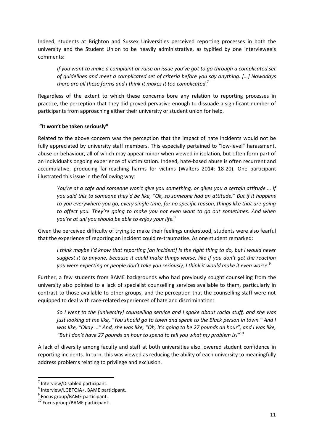Indeed, students at Brighton and Sussex Universities perceived reporting processes in both the university and the Student Union to be heavily administrative, as typified by one interviewee's comments:

*If you want to make a complaint or raise an issue you've got to go through a complicated set of guidelines and meet a complicated set of criteria before you say anything. […] Nowadays there are all these forms and I think it makes it too complicated.* 7

Regardless of the extent to which these concerns bore any relation to reporting processes in practice, the perception that they did proved pervasive enough to dissuade a significant number of participants from approaching either their university or student union for help.

### <span id="page-11-0"></span>**"It won't be taken seriously"**

Related to the above concern was the perception that the impact of hate incidents would not be fully appreciated by university staff members. This especially pertained to "low-level" harassment, abuse or behaviour, all of which may appear minor when viewed in isolation, but often form part of an individual's ongoing experience of victimisation. Indeed, hate-based abuse is often recurrent and accumulative, producing far-reaching harms for victims (Walters 2014: 18-20). One participant illustrated this issue in the following way:

*You're at a cafe and someone won't give you something, or gives you a certain attitude … If you said this to someone they'd be like, "Ok, so someone had an attitude." But if it happens to you everywhere you go, every single time, for no specific reason, things like that are going to affect you. They're going to make you not even want to go out sometimes. And when you're at uni you should be able to enjoy your life.*<sup>8</sup>

Given the perceived difficulty of trying to make their feelings understood, students were also fearful that the experience of reporting an incident could re-traumatise. As one student remarked:

*I think maybe I'd know that reporting [an incident] is the right thing to do, but I would never suggest it to anyone, because it could make things worse, like if you don't get the reaction you were expecting or people don't take you seriously, I think it would make it even worse.*<sup>9</sup>

Further, a few students from BAME backgrounds who had previously sought counselling from the university also pointed to a lack of specialist counselling services available to them, particularly in contrast to those available to other groups, and the perception that the counselling staff were not equipped to deal with race-related experiences of hate and discrimination:

*So I went to the [university] counselling service and I spoke about racial stuff, and she was just looking at me like, "You should go to town and speak to the Black person in town." And I was like, "Okay ..." And, she was like, "Oh, it's going to be 27 pounds an hour", and I was like, "But I don't have 27 pounds an hour to spend to tell you what my problem is!"*<sup>10</sup>

A lack of diversity among faculty and staff at both universities also lowered student confidence in reporting incidents. In turn, this was viewed as reducing the ability of each university to meaningfully address problems relating to privilege and exclusion.

<sup>7</sup> Interview/Disabled participant.

<sup>8</sup> Interview/LGBTQIA+, BAME participant.

<sup>&</sup>lt;sup>9</sup> Focus group/BAME participant.

<sup>10</sup> Focus group/BAME participant.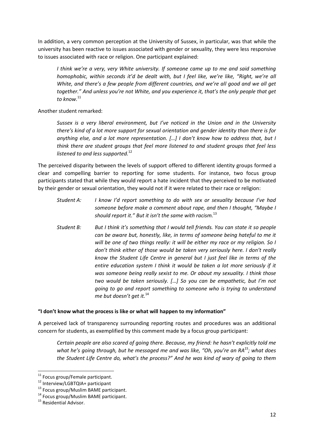In addition, a very common perception at the University of Sussex, in particular, was that while the university has been reactive to issues associated with gender or sexuality, they were less responsive to issues associated with race or religion. One participant explained:

*I think we're a very, very White university. If someone came up to me and said something homophobic, within seconds it'd be dealt with, but I feel like, we're like, "Right, we're all White, and there's a few people from different countries, and we're all good and we all get together." And unless you're not White, and you experience it, that's the only people that get to know.*<sup>11</sup>

Another student remarked:

*Sussex is a very liberal environment, but I've noticed in the Union and in the University there's kind of a lot more support for sexual orientation and gender identity than there is for anything else, and a lot more representation. […] I don't know how to address that, but I think there are student groups that feel more listened to and student groups that feel less listened to and less supported.*<sup>12</sup>

The perceived disparity between the levels of support offered to different identity groups formed a clear and compelling barrier to reporting for some students. For instance, two focus group participants stated that while they would report a hate incident that they perceived to be motivated by their gender or sexual orientation, they would not if it were related to their race or religion:

- *Student A: I know I'd report something to do with sex or sexuality because I've had someone before make a comment about rape, and then I thought, "Maybe I should report it." But it isn't the same with racism.*<sup>13</sup>
- *Student B: But I think it's something that I would tell friends. You can state it so people can be aware but, honestly, like, in terms of someone being hateful to me it will be one of two things really: it will be either my race or my religion. So I don't think either of those would be taken very seriously here. I don't really know the Student Life Centre in general but I just feel like in terms of the entire education system I think it would be taken a lot more seriously if it was someone being really sexist to me. Or about my sexuality. I think those two would be taken seriously. […] So you can be empathetic, but I'm not going to go and report something to someone who is trying to understand me but doesn't get it.*<sup>14</sup>

#### <span id="page-12-0"></span>**"I don't know what the process is like or what will happen to my information"**

A perceived lack of transparency surrounding reporting routes and procedures was an additional concern for students, as exemplified by this comment made by a focus group participant:

*Certain people are also scared of going there. Because, my friend: he hasn't explicitly told me what he's going through, but he messaged me and was like, "Oh, you're an RA<sup>15</sup> ; what does the Student Life Centre do, what's the process?" And he was kind of wary of going to them* 

 $\overline{a}$ <sup>11</sup> Focus group/Female participant.

<sup>12</sup> Interview/LGBTQIA+ participant

<sup>&</sup>lt;sup>13</sup> Focus group/Muslim BAME participant.

<sup>14</sup> Focus group/Muslim BAME participant.

<sup>&</sup>lt;sup>15</sup> Residential Advisor.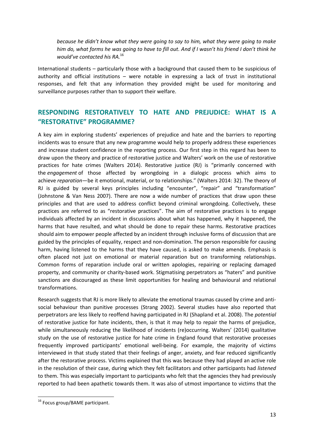*because he didn't know what they were going to say to him, what they were going to make him do, what forms he was going to have to fill out. And if I wasn't his friend I don't think he would've contacted his RA.*<sup>16</sup>

International students – particularly those with a background that caused them to be suspicious of authority and official institutions – were notable in expressing a lack of trust in institutional responses, and felt that any information they provided might be used for monitoring and surveillance purposes rather than to support their welfare.

# <span id="page-13-0"></span>**RESPONDING RESTORATIVELY TO HATE AND PREJUDICE: WHAT IS A "RESTORATIVE" PROGRAMME?**

A key aim in exploring students' experiences of prejudice and hate and the barriers to reporting incidents was to ensure that any new programme would help to properly address these experiences and increase student confidence in the reporting process. Our first step in this regard has been to draw upon the theory and practice of restorative justice and Walters' work on the use of restorative practices for hate crimes (Walters 2014). Restorative justice (RJ) is "primarily concerned with the *engagement* of those affected by wrongdoing in a dialogic process which aims to achieve *reparation*—be it emotional, material, or to relationships." (Walters 2014: 32). The theory of RJ is guided by several keys principles including "encounter", "repair" and "transformation" (Johnstone & Van Ness 2007). There are now a wide number of practices that draw upon these principles and that are used to address conflict beyond criminal wrongdoing. Collectively, these practices are referred to as "restorative practices". The aim of restorative practices is to engage individuals affected by an incident in discussions about what has happened, why it happened, the harms that have resulted, and what should be done to repair these harms. Restorative practices should aim to empower people affected by an incident through inclusive forms of discussion that are guided by the principles of equality, respect and non-domination. The person responsible for causing harm, having listened to the harms that they have caused, is asked to make amends. Emphasis is often placed not just on emotional or material reparation but on transforming relationships. Common forms of reparation include oral or written apologies, repairing or replacing damaged property, and community or charity-based work. Stigmatising perpetrators as "haters" and punitive sanctions are discouraged as these limit opportunities for healing and behavioural and relational transformations.

Research suggests that RJ is more likely to alleviate the emotional traumas caused by crime and antisocial behaviour than punitive processes (Strang 2002). Several studies have also reported that perpetrators are less likely to reoffend having participated in RJ (Shapland et al. 2008). The *potential* of restorative justice for hate incidents, then, is that it may help to repair the harms of prejudice, while simultaneously reducing the likelihood of incidents (re)occurring. Walters' (2014) qualitative study on the use of restorative justice for hate crime in England found that restorative processes frequently improved participants' emotional well-being. For example, the majority of victims interviewed in that study stated that their feelings of anger, anxiety, and fear reduced significantly after the restorative process. Victims explained that this was because they had played an active role in the resolution of their case, during which they felt facilitators and other participants had *listened* to them. This was especially important to participants who felt that the agencies they had previously reported to had been apathetic towards them. It was also of utmost importance to victims that the

<sup>&</sup>lt;sup>16</sup> Focus group/BAME participant.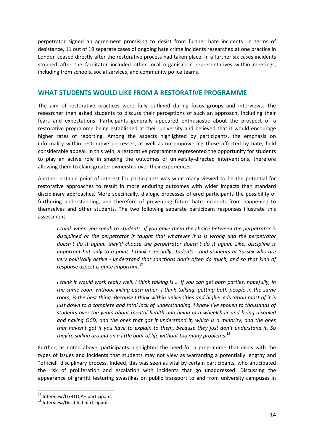perpetrator signed an agreement promising to desist from further hate incidents. In terms of desistance, 11 out of 19 separate cases of ongoing hate crime incidents researched at one practice in London ceased directly after the restorative process had taken place. In a further six cases incidents stopped after the facilitator included other local organisation representatives within meetings, including from schools, social services, and community police teams.

## <span id="page-14-0"></span>**WHAT STUDENTS WOULD LIKE FROM A RESTORATIVE PROGRAMME**

The aim of restorative practices were fully outlined during focus groups and interviews. The researcher then asked students to discuss their perceptions of such an approach, including their fears and expectations. Participants generally appeared enthusiastic about the prospect of a restorative programme being established at their university and believed that it would encourage higher rates of reporting. Among the aspects highlighted by participants, the emphasis on informality within restorative processes, as well as on empowering those affected by hate, held considerable appeal. In this vein, a restorative programme represented the opportunity for students to play an active role in shaping the outcomes of university-directed interventions, therefore allowing them to claim greater ownership over their experiences.

Another notable point of interest for participants was what many viewed to be the potential for restorative approaches to result in more enduring outcomes with wider impacts than standard disciplinary approaches. More specifically, dialogic processes offered participants the possibility of furthering understanding, and therefore of preventing future hate incidents from happening to themselves and other students. The two following separate participant responses illustrate this assessment:

*I think when you speak to students, if you gave them the choice between the perpetrator is disciplined or the perpetrator is taught that whatever it is is wrong and the perpetrator doesn't do it again, they'd choose the perpetrator doesn't do it again. Like, discipline is important but only to a point. I think especially students - and students at Sussex who are very politically active - understand that sanctions don't often do much, and so that kind of response aspect is quite important.*<sup>17</sup>

*I think it would work really well. I think talking is … If you can get both parties, hopefully, in the same room without killing each other, I think talking, getting both people in the same room, is the best thing. Because I think within universities and higher education most of it is just down to a complete and total lack of understanding. I know I've spoken to thousands of students over the years about mental health and being in a wheelchair and being disabled and having OCD, and the ones that got it understand it, which is a minority, and the ones that haven't got it you have to explain to them, because they just don't understand it. So they're sailing around on a little boat of life without too many problems.*<sup>18</sup>

Further, as noted above, participants highlighted the need for a programme that deals with the types of issues and incidents that students may not view as warranting a potentially lengthy and "official" disciplinary process. Indeed, this was seen as vital by certain participants, who anticipated the risk of proliferation and escalation with incidents that go unaddressed. Discussing the appearance of graffiti featuring swastikas on public transport to and from university campuses in

<sup>&</sup>lt;sup>17</sup> Interview/LGBTQIA+ participant.

<sup>18</sup> Interview/Disabled participant.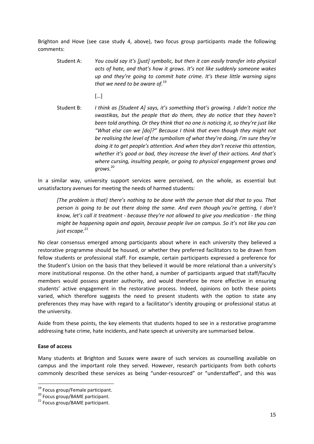Brighton and Hove (see case study 4, above), two focus group participants made the following comments:

- Student A: *You could say it's [just] symbolic, but then it can easily transfer into physical acts of hate, and that's how it grows. It's not like suddenly someone wakes up and they're going to commit hate crime. It's these little warning signs that we need to be aware of.*<sup>19</sup>
	- […]
- Student B: *I think as [Student A] says, it's something that's growing. I didn't notice the swastikas, but the people that do them, they do notice that they haven't been told anything. Or they think that no one is noticing it, so they're just like "What else can we [do]?" Because I think that even though they might not be realising the level of the symbolism of what they're doing, I'm sure they're doing it to get people's attention. And when they don't receive this attention, whether it's good or bad, they increase the level of their actions. And that's where cursing, insulting people, or going to physical engagement grows and grows.* 20

In a similar way, university support services were perceived, on the whole, as essential but unsatisfactory avenues for meeting the needs of harmed students:

*[The problem is that] there's nothing to be done with the person that did that to you. That person is going to be out there doing the same. And even though you're getting, I don't know, let's call it treatment - because they're not allowed to give you medication - the thing might be happening again and again, because people live on campus. So it's not like you can just escape.<sup>21</sup>*

No clear consensus emerged among participants about where in each university they believed a restorative programme should be housed, or whether they preferred facilitators to be drawn from fellow students or professional staff. For example, certain participants expressed a preference for the Student's Union on the basis that they believed it would be more relational than a university's more institutional response. On the other hand, a number of participants argued that staff/faculty members would possess greater authority, and would therefore be more effective in ensuring students' active engagement in the restorative process. Indeed, opinions on both these points varied, which therefore suggests the need to present students with the option to state any preferences they may have with regard to a facilitator's identity grouping or professional status at the university.

Aside from these points, the key elements that students hoped to see in a restorative programme addressing hate crime, hate incidents, and hate speech at university are summarised below.

#### <span id="page-15-0"></span>**Ease of access**

**.** 

Many students at Brighton and Sussex were aware of such services as counselling available on campus and the important role they served. However, research participants from both cohorts commonly described these services as being "under-resourced" or "understaffed", and this was

<sup>&</sup>lt;sup>19</sup> Focus group/Female participant.

<sup>20</sup> Focus group/BAME participant.

<sup>&</sup>lt;sup>21</sup> Focus group/BAME participant.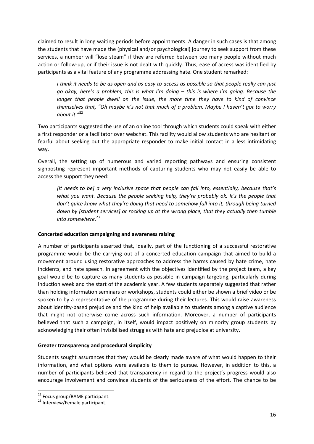claimed to result in long waiting periods before appointments. A danger in such cases is that among the students that have made the (physical and/or psychological) journey to seek support from these services, a number will "lose steam" if they are referred between too many people without much action or follow-up, or if their issue is not dealt with quickly. Thus, ease of access was identified by participants as a vital feature of any programme addressing hate. One student remarked:

*I think it needs to be as open and as easy to access as possible so that people really can just go okay, here's a problem, this is what I'm doing – this is where I'm going. Because the longer that people dwell on the issue, the more time they have to kind of convince themselves that, "Oh maybe it's not that much of a problem. Maybe I haven't got to worry about it."* 22

Two participants suggested the use of an online tool through which students could speak with either a first responder or a facilitator over webchat. This facility would allow students who are hesitant or fearful about seeking out the appropriate responder to make initial contact in a less intimidating way.

Overall, the setting up of numerous and varied reporting pathways and ensuring consistent signposting represent important methods of capturing students who may not easily be able to access the support they need:

*[It needs to be] a very inclusive space that people can fall into, essentially, because that's what you want. Because the people seeking help, they're probably ok. It's the people that don't quite know what they're doing that need to somehow fall into it, through being turned down by [student services] or rocking up at the wrong place, that they actually then tumble into somewhere.*<sup>23</sup>

#### <span id="page-16-0"></span>**Concerted education campaigning and awareness raising**

A number of participants asserted that, ideally, part of the functioning of a successful restorative programme would be the carrying out of a concerted education campaign that aimed to build a movement around using restorative approaches to address the harms caused by hate crime, hate incidents, and hate speech. In agreement with the objectives identified by the project team, a key goal would be to capture as many students as possible in campaign targeting, particularly during induction week and the start of the academic year. A few students separately suggested that rather than holding information seminars or workshops, students could either be shown a brief video or be spoken to by a representative of the programme during their lectures. This would raise awareness about identity-based prejudice and the kind of help available to students among a captive audience that might not otherwise come across such information. Moreover, a number of participants believed that such a campaign, in itself, would impact positively on minority group students by acknowledging their often invisibilised struggles with hate and prejudice at university.

#### <span id="page-16-1"></span>**Greater transparency and procedural simplicity**

Students sought assurances that they would be clearly made aware of what would happen to their information, and what options were available to them to pursue. However, in addition to this, a number of participants believed that transparency in regard to the project's progress would also encourage involvement and convince students of the seriousness of the effort. The chance to be

**<sup>.</sup>** <sup>22</sup> Focus group/BAME participant.

<sup>&</sup>lt;sup>23</sup> Interview/Female participant.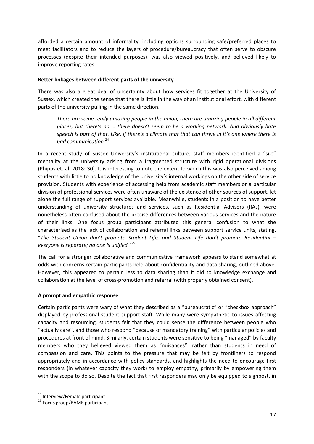afforded a certain amount of informality, including options surrounding safe/preferred places to meet facilitators and to reduce the layers of procedure/bureaucracy that often serve to obscure processes (despite their intended purposes), was also viewed positively, and believed likely to improve reporting rates.

#### <span id="page-17-0"></span>**Better linkages between different parts of the university**

There was also a great deal of uncertainty about how services fit together at the University of Sussex, which created the sense that there is little in the way of an institutional effort, with different parts of the university pulling in the same direction.

*There are some really amazing people in the union, there are amazing people in all different places, but there's no … there doesn't seem to be a working network. And obviously hate speech is part of that. Like, if there's a climate that that can thrive in it's one where there is bad communication.*<sup>24</sup>

In a recent study of Sussex University's institutional culture, staff members identified a "silo" mentality at the university arising from a fragmented structure with rigid operational divisions (Phipps et. al. 2018: 30). It is interesting to note the extent to which this was also perceived among students with little to no knowledge of the university's internal workings on the other side of service provision. Students with experience of accessing help from academic staff members or a particular division of professional services were often unaware of the existence of other sources of support, let alone the full range of support services available. Meanwhile, students in a position to have better understanding of university structures and services, such as Residential Advisors (RAs), were nonetheless often confused about the precise differences between various services and the nature of their links. One focus group participant attributed this general confusion to what she characterised as the lack of collaboration and referral links between support service units, stating, "*The Student Union don't promote Student Life, and Student Life don't promote Residential – everyone is separate; no one is unified."*<sup>25</sup>

The call for a stronger collaborative and communicative framework appears to stand somewhat at odds with concerns certain participants held about confidentiality and data sharing, outlined above. However, this appeared to pertain less to data sharing than it did to knowledge exchange and collaboration at the level of cross-promotion and referral (with properly obtained consent).

#### <span id="page-17-1"></span>**A prompt and empathic response**

Certain participants were wary of what they described as a "bureaucratic" or "checkbox approach" displayed by professional student support staff. While many were sympathetic to issues affecting capacity and resourcing, students felt that they could sense the difference between people who "actually care", and those who respond "because of mandatory training" with particular policies and procedures at front of mind. Similarly, certain students were sensitive to being "managed" by faculty members who they believed viewed them as "nuisances", rather than students in need of compassion and care. This points to the pressure that may be felt by frontliners to respond appropriately and in accordance with policy standards, and highlights the need to encourage first responders (in whatever capacity they work) to employ empathy, primarily by empowering them with the scope to do so. Despite the fact that first responders may only be equipped to signpost, in

<sup>&</sup>lt;sup>24</sup> Interview/Female participant.

<sup>&</sup>lt;sup>25</sup> Focus group/BAME participant.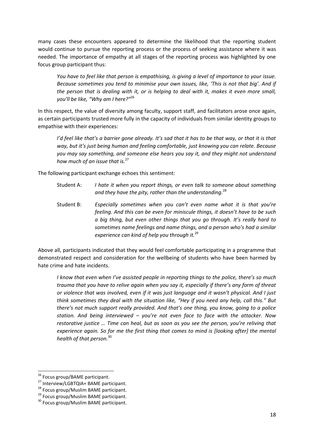many cases these encounters appeared to determine the likelihood that the reporting student would continue to pursue the reporting process or the process of seeking assistance where it was needed. The importance of empathy at all stages of the reporting process was highlighted by one focus group participant thus:

*You have to feel like that person is empathising, is giving a level of importance to your issue. Because sometimes you tend to minimise your own issues, like, 'This is not that big'. And if the person that is dealing with it, or is helping to deal with it, makes it even more small, you'll be like, "Why am I here?"* 26

In this respect, the value of diversity among faculty, support staff, and facilitators arose once again, as certain participants trusted more fully in the capacity of individuals from similar identity groups to empathise with their experiences:

*I'd feel like that's a barrier gone already. It's sad that it has to be that way, or that it is that way, but it's just being human and feeling comfortable, just knowing you can relate. Because you may say something, and someone else hears you say it, and they might not understand how much of an issue that is.*<sup>27</sup>

The following participant exchange echoes this sentiment:

- Student A: *I hate it when you report things, or even talk to someone about something and they have the pity, rather than the understanding.*<sup>28</sup>
- Student B: *Especially sometimes when you can't even name what it is that you're feeling. And this can be even for miniscule things, it doesn't have to be such a big thing, but even other things that you go through. It's really hard to sometimes name feelings and name things, and a person who's had a similar experience can kind of help you through it.*<sup>29</sup>

Above all, participants indicated that they would feel comfortable participating in a programme that demonstrated respect and consideration for the wellbeing of students who have been harmed by hate crime and hate incidents.

*I know that even when I've assisted people in reporting things to the police, there's so much trauma that you have to relive again when you say it, especially if there's any form of threat or violence that was involved, even if it was just language and it wasn't physical. And I just think sometimes they deal with the situation like, "Hey if you need any help, call this." But there's not much support really provided. And that's one thing, you know, going to a police station. And being interviewed – you're not even face to face with the attacker. Now restorative justice … Time can heal, but as soon as you see the person, you're reliving that experience again. So for me the first thing that comes to mind is [looking after] the mental health of that person.*<sup>30</sup>

<span id="page-18-0"></span> $\overline{a}$ 

<sup>&</sup>lt;sup>26</sup> Focus group/BAME participant.

<sup>27</sup> Interview/LGBTQIA+ BAME participant.

<sup>&</sup>lt;sup>28</sup> Focus group/Muslim BAME participant.

<sup>29</sup> Focus group/Muslim BAME participant.

<sup>&</sup>lt;sup>30</sup> Focus group/Muslim BAME participant.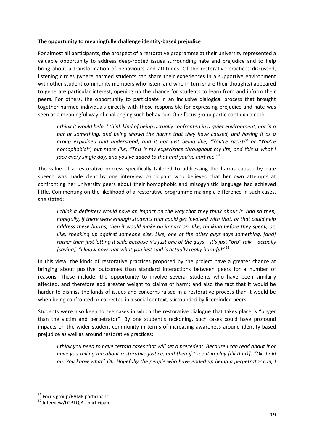#### **The opportunity to meaningfully challenge identity-based prejudice**

For almost all participants, the prospect of a restorative programme at their university represented a valuable opportunity to address deep-rooted issues surrounding hate and prejudice and to help bring about a transformation of behaviours and attitudes. Of the restorative practices discussed, listening circles (where harmed students can share their experiences in a supportive environment with other student community members who listen, and who in turn share their thoughts) appeared to generate particular interest, opening up the chance for students to learn from and inform their peers. For others, the opportunity to participate in an inclusive dialogical process that brought together harmed individuals directly with those responsible for expressing prejudice and hate was seen as a meaningful way of challenging such behaviour. One focus group participant explained:

*I think it would help. I think kind of being actually confronted in a quiet environment, not in a bar or something, and being shown the harms that they have caused, and having it as a group explained and understood, and it not just being like, "You're racist!" or "You're homophobic!", but more like, "This is my experience throughout my life, and this is what I face every single day, and you've added to that and you've hurt me."*<sup>31</sup>

The value of a restorative process specifically tailored to addressing the harms caused by hate speech was made clear by one interview participant who believed that her own attempts at confronting her university peers about their homophobic and misogynistic language had achieved little. Commenting on the likelihood of a restorative programme making a difference in such cases, she stated:

*I think it definitely would have an impact on the way that they think about it. And so then, hopefully, if there were enough students that could get involved with that, or that could help address these harms, then it would make an impact on, like, thinking before they speak, or, like, speaking up against someone else. Like, one of the other guys says something, [and] rather than just letting it slide because it's just one of the guys – it's just "bro" talk – actually [saying], "I know now that what you just said is actually really harmful".* 32

In this view, the kinds of restorative practices proposed by the project have a greater chance at bringing about positive outcomes than standard interactions between peers for a number of reasons. These include: the opportunity to involve several students who have been similarly affected, and therefore add greater weight to claims of harm; and also the fact that it would be harder to dismiss the kinds of issues and concerns raised in a restorative process than it would be when being confronted or corrected in a social context, surrounded by likeminded peers.

Students were also keen to see cases in which the restorative dialogue that takes place is "bigger than the victim and perpetrator". By one student's reckoning, such cases could have profound impacts on the wider student community in terms of increasing awareness around identity-based prejudice as well as around restorative practices:

*I think you need to have certain cases that will set a precedent. Because I can read about it or have you telling me about restorative justice, and then if I see it in play [I'll think], "Ok, hold on. You know what? Ok. Hopefully the people who have ended up being a perpetrator can, I* 

<sup>&</sup>lt;sup>31</sup> Focus group/BAME participant.

<sup>32</sup> Interview/LGBTQIA+ participant.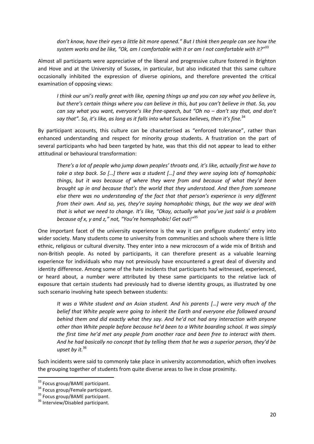*don't know, have their eyes a little bit more opened." But I think then people can see how the system works and be like, "Ok, am I comfortable with it or am I not comfortable with it?"* 33

Almost all participants were appreciative of the liberal and progressive culture fostered in Brighton and Hove and at the University of Sussex, in particular, but also indicated that this same culture occasionally inhibited the expression of diverse opinions, and therefore prevented the critical examination of opposing views:

*I think our uni's really great with like, opening things up and you can say what you believe in, but there's certain things where you can believe in this, but you can't believe in that. So, you can say what you want, everyone's like free-speech, but "Oh no – don't say that, and don't say that". So, it's like, as long as it falls into what Sussex believes, then it's fine.*<sup>34</sup>

By participant accounts, this culture can be characterised as "enforced tolerance", rather than enhanced understanding and respect for minority group students. A frustration on the part of several participants who had been targeted by hate, was that this did not appear to lead to either attitudinal or behavioural transformation:

*There's a lot of people who jump down peoples' throats and, it's like, actually first we have to take a step back. So […] there was a student […] and they were saying lots of homophobic things, but it was because of where they were from and because of what they'd been brought up in and because that's the world that they understood. And then from someone else there was no understanding of the fact that that person's experience is very different from their own. And so, yes, they're saying homophobic things, but the way we deal with that is what we need to change. It's like, "Okay, actually what you've just said is a problem because of x, y and z," not, "You're homophobic! Get out!"* 35

One important facet of the university experience is the way it can prefigure students' entry into wider society. Many students come to university from communities and schools where there is little ethnic, religious or cultural diversity. They enter into a new microcosm of a wide mix of British and non-British people. As noted by participants, it can therefore present as a valuable learning experience for individuals who may not previously have encountered a great deal of diversity and identity difference. Among some of the hate incidents that participants had witnessed, experienced, or heard about, a number were attributed by these same participants to the relative lack of exposure that certain students had previously had to diverse identity groups, as illustrated by one such scenario involving hate speech between students:

*It was a White student and an Asian student. And his parents […] were very much of the belief that White people were going to inherit the Earth and everyone else followed around behind them and did exactly what they say. And he'd not had any interaction with anyone other than White people before because he'd been to a White boarding school. It was simply the first time he'd met any people from another race and been free to interact with them. And he had basically no concept that by telling them that he was a superior person, they'd be upset by it.*<sup>36</sup>

Such incidents were said to commonly take place in university accommodation, which often involves the grouping together of students from quite diverse areas to live in close proximity.

<sup>&</sup>lt;sup>33</sup> Focus group/BAME participant.

<sup>&</sup>lt;sup>34</sup> Focus group/Female participant.

<sup>&</sup>lt;sup>35</sup> Focus group/BAME participant.

<sup>36</sup> Interview/Disabled participant.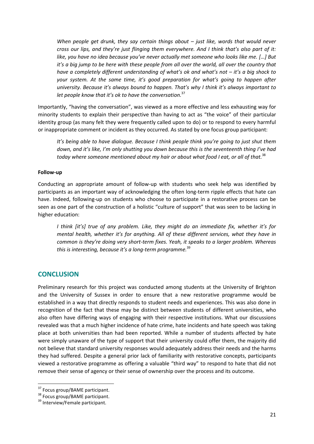*When people get drunk, they say certain things about – just like, words that would never cross our lips, and they're just flinging them everywhere. And I think that's also part of it: like, you have no idea because you've never actually met someone who looks like me. […] But it's a big jump to be here with these people from all over the world, all over the country that have a completely different understanding of what's ok and what's not – it's a big shock to your system. At the same time, it's good preparation for what's going to happen after university. Because it's always bound to happen. That's why I think it's always important to let people know that it's ok to have the conversation.* 37

Importantly, "having the conversation", was viewed as a more effective and less exhausting way for minority students to explain their perspective than having to act as "the voice" of their particular identity group (as many felt they were frequently called upon to do) or to respond to every harmful or inappropriate comment or incident as they occurred. As stated by one focus group participant:

*It's being able to have dialogue. Because I think people think you're going to just shut them down, and it's like, I'm only shutting you down because this is the seventeenth thing I've had today where someone mentioned about my hair or about what food I eat, or all of that.*<sup>38</sup>

#### <span id="page-21-0"></span>**Follow-up**

Conducting an appropriate amount of follow-up with students who seek help was identified by participants as an important way of acknowledging the often long-term ripple effects that hate can have. Indeed, following-up on students who choose to participate in a restorative process can be seen as one part of the construction of a holistic "culture of support" that was seen to be lacking in higher education:

*I think [it's] true of any problem. Like, they might do an immediate fix, whether it's for mental health, whether it's for anything. All of these different services, what they have in common is they're doing very short-term fixes. Yeah, it speaks to a larger problem. Whereas this is interesting, because it's a long-term programme.*<sup>39</sup>

#### <span id="page-21-1"></span>**CONCLUSION**

Preliminary research for this project was conducted among students at the University of Brighton and the University of Sussex in order to ensure that a new restorative programme would be established in a way that directly responds to student needs and experiences. This was also done in recognition of the fact that these may be distinct between students of different universities, who also often have differing ways of engaging with their respective institutions. What our discussions revealed was that a much higher incidence of hate crime, hate incidents and hate speech was taking place at both universities than had been reported. While a number of students affected by hate were simply unaware of the type of support that their university could offer them, the majority did not believe that standard university responses would adequately address their needs and the harms they had suffered. Despite a general prior lack of familiarity with restorative concepts, participants viewed a restorative programme as offering a valuable "third way" to respond to hate that did not remove their sense of agency or their sense of ownership over the process and its outcome.

<sup>&</sup>lt;sup>37</sup> Focus group/BAME participant.

Brocus group/ State Form Participant.

<sup>&</sup>lt;sup>39</sup> Interview/Female participant.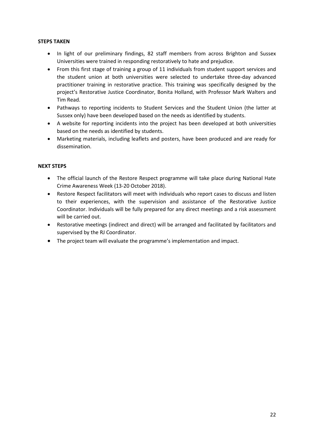#### <span id="page-22-0"></span>**STEPS TAKEN**

- In light of our preliminary findings, 82 staff members from across Brighton and Sussex Universities were trained in responding restoratively to hate and prejudice.
- From this first stage of training a group of 11 individuals from student support services and the student union at both universities were selected to undertake three-day advanced practitioner training in restorative practice. This training was specifically designed by the project's Restorative Justice Coordinator, Bonita Holland, with Professor Mark Walters and Tim Read.
- Pathways to reporting incidents to Student Services and the Student Union (the latter at Sussex only) have been developed based on the needs as identified by students.
- A website for reporting incidents into the project has been developed at both universities based on the needs as identified by students.
- Marketing materials, including leaflets and posters, have been produced and are ready for dissemination.

#### <span id="page-22-1"></span>**NEXT STEPS**

- The official launch of the Restore Respect programme will take place during National Hate Crime Awareness Week (13-20 October 2018).
- Restore Respect facilitators will meet with individuals who report cases to discuss and listen to their experiences, with the supervision and assistance of the Restorative Justice Coordinator. Individuals will be fully prepared for any direct meetings and a risk assessment will be carried out.
- Restorative meetings (indirect and direct) will be arranged and facilitated by facilitators and supervised by the RJ Coordinator.
- The project team will evaluate the programme's implementation and impact.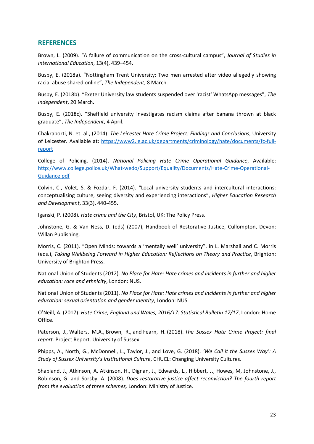# <span id="page-23-0"></span>**REFERENCES**

Brown, L. (2009). "A failure of communication on the cross-cultural campus", *Journal of Studies in International Education*, 13(4), 439–454.

Busby, E. (2018a). "Nottingham Trent University: Two men arrested after video allegedly showing racial abuse shared online", *The Independent*, 8 March.

Busby, E. (2018b). "Exeter University law students suspended over 'racist' WhatsApp messages", *The Independent*, 20 March.

Busby, E. (2018c). "Sheffield university investigates racism claims after banana thrown at black graduate", *The Independent*, 4 April.

Chakraborti, N. et. al., (2014). *The Leicester Hate Crime Project: Findings and Conclusions*, University of Leicester. Available at: [https://www2.le.ac.uk/departments/criminology/hate/documents/fc-full](https://www2.le.ac.uk/departments/criminology/hate/documents/fc-full-report)[report](https://www2.le.ac.uk/departments/criminology/hate/documents/fc-full-report)

College of Policing. (2014). *National Policing Hate Crime Operational Guidance*, Available: [http://www.college.police.uk/What-wedo/Support/Equality/Documents/Hate-Crime-Operational-](http://www.college.police.uk/What-wedo/Support/Equality/Documents/Hate-Crime-Operational-Guidance.pdf)[Guidance.pdf](http://www.college.police.uk/What-wedo/Support/Equality/Documents/Hate-Crime-Operational-Guidance.pdf)

Colvin, C., Volet, S. & Fozdar, F. (2014). "Local university students and intercultural interactions: conceptualising culture, seeing diversity and experiencing interactions", *Higher Education Research and Development*, 33(3), 440-455.

Iganski, P. (2008)*. Hate crime and the City*, Bristol, UK: The Policy Press.

Johnstone, G. & Van Ness, D. (eds) (2007), Handbook of Restorative Justice, Cullompton, Devon: Willan Publishing.

Morris, C. (2011). "Open Minds: towards a 'mentally well' university", in L. Marshall and C. Morris (eds.), *Taking Wellbeing Forward in Higher Education: Reflections on Theory and Practice*, Brighton: University of Brighton Press.

National Union of Students (2012). *No Place for Hate: Hate crimes and incidents in further and higher education: race and ethnicity*, London: NUS.

National Union of Students (2011). *No Place for Hate: Hate crimes and incidents in further and higher education: sexual orientation and gender identity*, London: NUS.

O'Neill, A. (2017). *Hate Crime, England and Wales, 2016/17: Statistical Bulletin 17/17*, London: Home Office.

Paterson, J., Walters, M.A., Brown, R., and Fearn, H. (2018). *[The Sussex Hate Crime Project: final](http://sro.sussex.ac.uk/73458/)  [report.](http://sro.sussex.ac.uk/73458/)* Project Report. University of Sussex.

Phipps, A., North, G., McDonnell, L., Taylor, J., and Love, G. (2018). *'We Call it the Sussex Way': A Study of Sussex University's Institutional Culture*, CHUCL: Changing University Cultures.

Shapland, J., Atkinson, A, Atkinson, H., Dignan, J., Edwards, L., Hibbert, J., Howes, M, Johnstone, J., Robinson, G. and Sorsby, A. (2008). *Does restorative justice affect reconviction? The fourth report from the evaluation of three schemes,* London: Ministry of Justice.